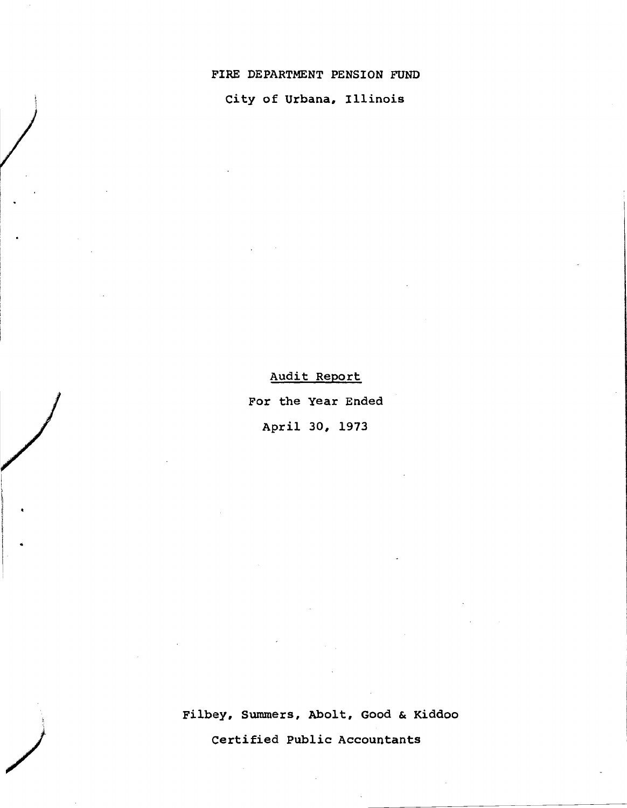### FIRE DEPARTMENT PENSION FUND

city of Urbana, Illinois

Audit Report

For the year Ended

April 30, 1973

Fi1bey, Summers, Abo1t, Good & Kiddoo

Certified Public Accountants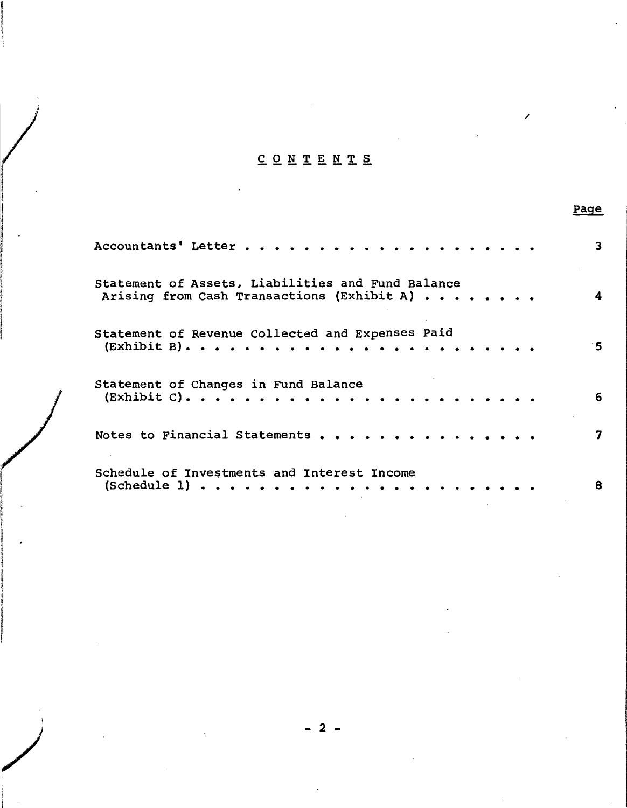# CONTENTS

|                                                                                                                                                               | Page                    |
|---------------------------------------------------------------------------------------------------------------------------------------------------------------|-------------------------|
|                                                                                                                                                               | $\overline{\mathbf{3}}$ |
| Statement of Assets, Liabilities and Fund Balance<br>Arising from Cash Transactions (Exhibit A)                                                               | 4                       |
| Statement of Revenue Collected and Expenses Paid                                                                                                              | $5^{\circ}$             |
| Statement of Changes in Fund Balance                                                                                                                          | 6                       |
| Notes to Financial Statements                                                                                                                                 | $\overline{\mathbf{z}}$ |
| Schedule of Investments and Interest Income<br>$(Schedule 1) \cdot \cdot \cdot \cdot \cdot \cdot \cdot \cdot \cdot \cdot \cdot \cdot \cdot \cdot \cdot \cdot$ | 8                       |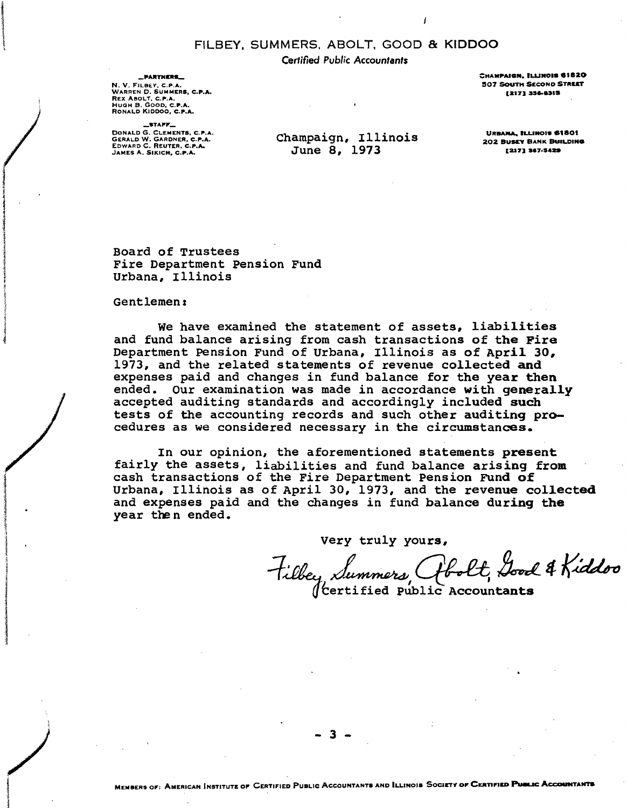### FILBEY. SUMMERS, ABOLT. GOOD & KIDDOO

Certified Public Accountants

\_PARTNERS\_ N. V. FILBEY, C.P.A. WARREN D. SUMMERS, C.P.A. REX ABOLT, C.P.A. Hugh B. Goob, <mark>c.p.a.</mark><br>Ronald Kiddoo<mark>, c.p.a.</mark>

 $-$ STAFF $-$ DONALD G. CLEMENTS, C.P.A.<br>GERALD W. GARDNER, C.P.A.<br>EDWARD C. REUTER, C.P.A. JAMES A. SIKICH. C.P.A.

Champaign, Illinois June 8, 1973

CHAMPAIGN, ILLINOIS 61820 507 SOUTH SECOND STREET [217] 356-8315

URBANA, ILLINOIS 61801 **202 BUSEY BANK BUILDING** (217) 367-5429

Board of Trustees Fire Department Pension Fund Urbana, Illinois

Gentlemen:

an dari **INVESTIGATION ENGINEER** 1

We have examined the statement of assets, liabilities and fund balance arising from cash transactions of the Fire Department Pension Fund of Urbana, Illinois as of April 30, 1973, and the related statements of revenue collected and expenses paid and changes in fund balance for the year then ended. Our examination was made in accordance with generally accepted auditing standards and accordingly included such tests of the accounting records and such other auditing procedures as we considered necessary in the circumstances.

In our opinion, the aforementioned statements present fairly the assets, liabilities and fund balance arising from cash transactions of the Fire Department Pension FUnd of Urbana, Illinois as of April 30, 1973, and the revenue collected and expenses paid and the changes in fund balance during the year then ended.

Very truly yours,

tille, Summery (tbolt, Good & Kiddoo

 $\int$  certified Public Accountants

- 3 -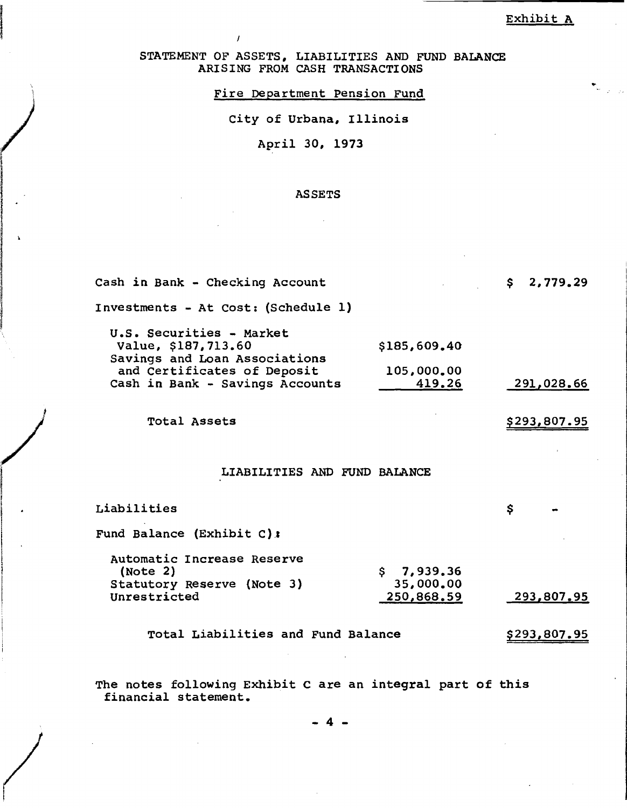STATEMENT OF ASSETS, LIABILITIES AND FUND BALANCE ARISING FROM CASH TRANSACTIONS

Fire Department pension Fund

City of Urbana, Illinois

April 30, 1973

)

international and control to the control of the control of the control of the control of the control of the co<br>In the control of the control of the control of the control of the control of the control of the control of the

)

**International Community**<br>International Community<br>International Community<br>International Community<br>International Community I I

and and a stronger of the state of the state of the state of the state of the state of the state of the state of the state of the state of the state of the state of the state of the state of the state of the state of the s !

 $\overline{\phantom{a}}$ 

!

#### ASSETS

| Cash in Bank - Checking Account                                                  |                         | \$2,779.29           |
|----------------------------------------------------------------------------------|-------------------------|----------------------|
| Investments - At Cost: (Schedule 1)                                              |                         |                      |
| U.S. Securities - Market<br>Value, \$187,713.60<br>Savings and Loan Associations | \$185,609.40            |                      |
| and Certificates of Deposit<br>Cash in Bank - Savings Accounts                   | 105,000,00<br>419.26    | 291,028.66           |
| Total Assets                                                                     |                         | \$293,807.95         |
| LIABILITIES AND FUND BALANCE                                                     |                         |                      |
| Liabilities                                                                      |                         | \$                   |
| Fund Balance (Exhibit C):                                                        |                         |                      |
| Automatic Increase Reserve<br>(Note 2)                                           | \$7,939.36              |                      |
| Statutory Reserve (Note 3)<br>Unrestricted                                       | 35,000.00<br>250,868.59 | <u>293,807.95</u>    |
| Total Liabilities and Fund Balance                                               |                         | \$293 <u>,807.95</u> |

The notes following Exhibit <sup>C</sup> are an integral part of this financial statement.

- 4 -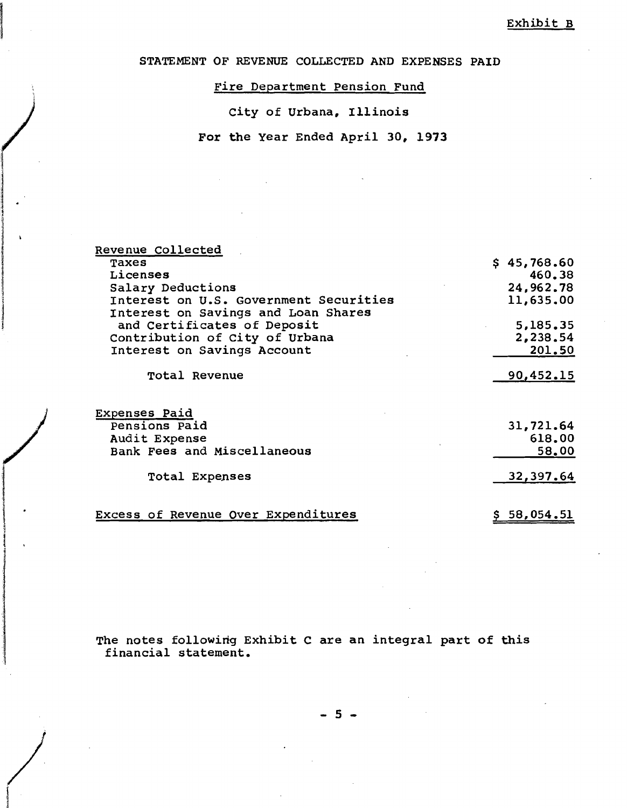STATEMENT OF REVENUE COLLECTED AND EXPENSES PAID

Fire Department Pension Fund

city of Urbana, Illinois

)

12. (1994)<br>1944 - Paul Baltimore, american<br>1945 - Paul Baltimore, actor

14%44/0680646 **ISBN 2006-0006** Hallmark **I** 

/

**International Control** ,J

1 .

For the year Ended April 30, 1973

| Revenue Collected                      |             |
|----------------------------------------|-------------|
| Taxes                                  | \$45,768.60 |
| Licenses                               | 460.38      |
| Salary Deductions                      | 24,962,78   |
| Interest on U.S. Government Securities | 11,635,00   |
| Interest on Savings and Loan Shares    |             |
|                                        |             |
| and Certificates of Deposit            | 5,185,35    |
| Contribution of City of Urbana         | 2,238.54    |
| Interest on Savings Account            | 201.50      |
|                                        |             |
| <b>Total Revenue</b>                   | 90,452.15   |
|                                        |             |
| <b>Expenses Paid</b>                   |             |
| Pensions Paid                          | 31,721.64   |
| Audit Expense                          | 618.00      |
| Bank Fees and Miscellaneous            | 58.00       |
|                                        |             |
| Total Expenses                         | 32,397.64   |
|                                        |             |
| Excess of Revenue Over Expenditures    | \$58,054.51 |
|                                        |             |

The notes following Exhibit C are an integral part of this financial statement.

 $5 -$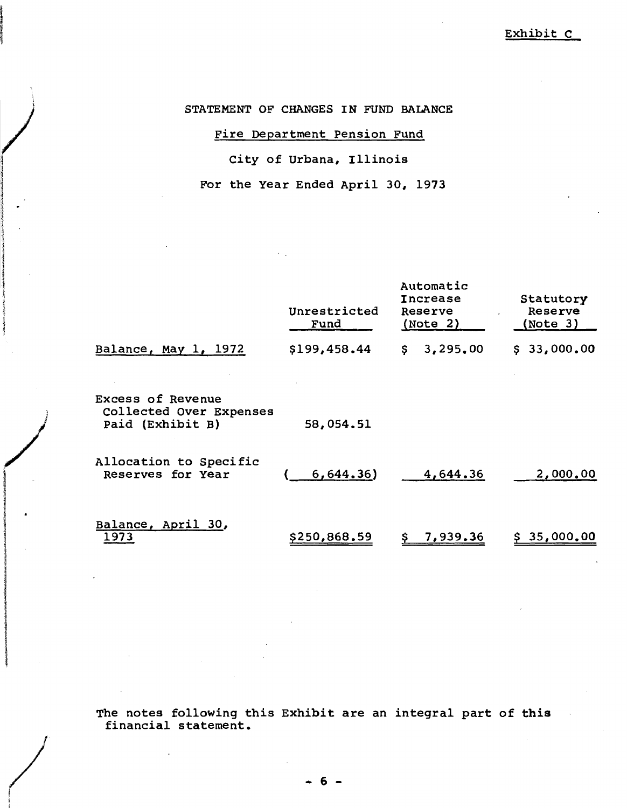Exhibit C

STATEMENT OF CHANGES IN FUND BALANCE

# Fire Department Pension Fund

# City of Urbana, Illinois

For the Year Ended April 30, 1973

|                                                                         | Unrestricted<br>Fund | Automatic<br>Increase<br>Reserve<br>(Note 2) | Statutory<br>Reserve<br>(Note 3) |
|-------------------------------------------------------------------------|----------------------|----------------------------------------------|----------------------------------|
| Balance, May 1, 1972                                                    | \$199,458.44         | 3,295,00<br>\$.                              | \$33,000.00                      |
| <b>Excess of Revenue</b><br>Collected Over Expenses<br>Paid (Exhibit B) | 58,054.51            |                                              |                                  |
| Allocation to Specific<br>Reserves for Year                             | 6,644.36)            | 4,644.36                                     | 2,000,00                         |
| Balance, April 30,<br>1973                                              | \$250,868.59         | 7,939.36                                     | \$35,000.00                      |

)<br>*)* 

/

in the main way

The notes following this Exhibit are an integral part of this financial statement.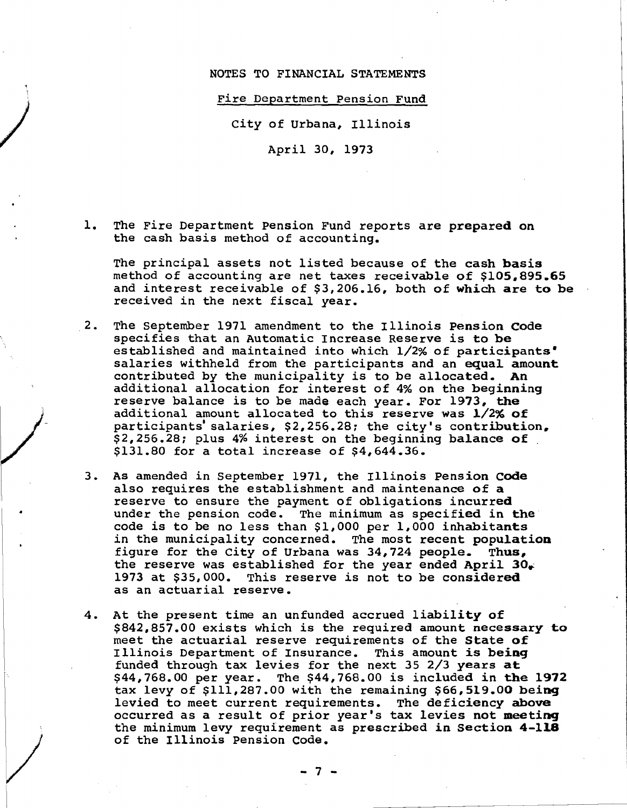### NOTES TO FINANCIAL STATEMENTS

#### *Fire* Department Pension Fund

City of Urbana, Illinois

)<br>1<br>1

/

 $\overline{\phantom{a}}$ 

April 30, 1973

1. The *Fire* Department pension Fund reports are prepared on the cash basis method of accounting.

The principal assets not listed because of the cash basis method of accounting are net taxes receivable of \$105,895.65 and interest receivable of \$3,206.16, both of which are to be received in the next fiscal year.

- 2. The september 1971 amendment to the Illinois Pension code specifies that an Automatic Increase Reserve is to be established and maintained into which 1/2% of participants' salaries withheld from the participants and an equal amount contributed by the municipality is to be allocated. An additional allocation for interest of 4% on the beginning reserve balance is to be made each year. For 1973, the additional amount allocated to this reserve was 1/2% of participants' salaries, \$2,256.28; the city's contribution, \$2,256.28: plus 4% interest on the beginning balance of \$131.80 for <sup>a</sup> total increase of \$4,644.36.
- 3. As amended in september 1971, the Illinois Pension code also requires the establishment and maintenance of <sup>a</sup> reserve to ensure the payment of obligations incurred under the pension code. The minimum as specified in the code is to be no less than \$1,000 per 1,000 inhabitants in the municipality concerned. The most recent population fiqure for the City of Urbana was  $34,724$  people. Thus, the reserve was established for the year ended April  $30_{+}$ <br>1973 at \$35,000. This reserve is not to be considered This reserve is not to be considered as an actuarial reserve.
- 4. At the present time an unfunded accrued liability of \$842,857.00 exists which *is* the required amount necessary to meet the actuarial reserve requirements of the State of Illinois Department of Insurance. This amount is being funded through tax levies for the next <sup>35</sup> 2/3 years at \$44,768.00 per year. The \$44,768.00 *is* included in the 1972 tax levy of \$111,287.00 with the remaining \$66,519.00 being levied to meet current requirements. The deficiency above occurred as <sup>a</sup> result of prior year's tax levies not meeting the minimum levy requirement as prescribed in Section 4-118 of the Illinois Pension Code.